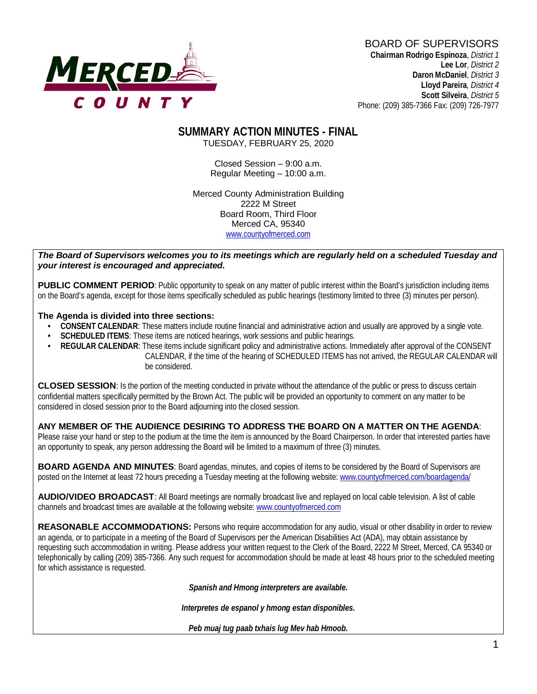# **MERCED-**

#### BOARD OF SUPERVISORS **Chairman Rodrigo Espinoza**, *District 1*

**Lee Lor**, *District 2*  **Daron McDaniel**, *District 3* **Lloyd Pareira***, District 4*  **Scott Silveira**, *District 5* Phone: (209) 385-7366 Fax: (209) 726-7977

#### **SUMMARY ACTION MINUTES - FINAL** TUESDAY, FEBRUARY 25, 2020

Closed Session – 9:00 a.m. Regular Meeting – 10:00 a.m.

Merced County Administration Building 2222 M Street Board Room, Third Floor Merced CA, 95340 www.countyofmerced.com

#### *The Board of Supervisors welcomes you to its meetings which are regularly held on a scheduled Tuesday and your interest is encouraged and appreciated.*

**PUBLIC COMMENT PERIOD:** Public opportunity to speak on any matter of public interest within the Board's jurisdiction including items on the Board's agenda, except for those items specifically scheduled as public hearings (testimony limited to three (3) minutes per person).

#### **The Agenda is divided into three sections:**

- **CONSENT CALENDAR**: These matters include routine financial and administrative action and usually are approved by a single vote.
- **SCHEDULED ITEMS:** These items are noticed hearings, work sessions and public hearings.
- **REGULAR CALENDAR**: These items include significant policy and administrative actions. Immediately after approval of the CONSENT CALENDAR, if the time of the hearing of SCHEDULED ITEMS has not arrived, the REGULAR CALENDAR will be considered.

**CLOSED SESSION**: Is the portion of the meeting conducted in private without the attendance of the public or press to discuss certain confidential matters specifically permitted by the Brown Act. The public will be provided an opportunity to comment on any matter to be considered in closed session prior to the Board adjourning into the closed session.

#### **ANY MEMBER OF THE AUDIENCE DESIRING TO ADDRESS THE BOARD ON A MATTER ON THE AGENDA**:

Please raise your hand or step to the podium at the time the item is announced by the Board Chairperson. In order that interested parties have an opportunity to speak, any person addressing the Board will be limited to a maximum of three (3) minutes.

**BOARD AGENDA AND MINUTES:** Board agendas, minutes, and copies of items to be considered by the Board of Supervisors are posted on the Internet at least 72 hours preceding a Tuesday meeting at the following website: [www.countyofmerced.com/boardagenda/](http://www.countyofmerced.com/boardagenda/) 

**AUDIO/VIDEO BROADCAST**: All Board meetings are normally broadcast live and replayed on local cable television. A list of cable channels and broadcast times are available at the following website[: www.countyofmerced.com](http://www.countyofmerced.com/)

**REASONABLE ACCOMMODATIONS:** Persons who require accommodation for any audio, visual or other disability in order to review an agenda, or to participate in a meeting of the Board of Supervisors per the American Disabilities Act (ADA), may obtain assistance by requesting such accommodation in writing. Please address your written request to the Clerk of the Board, 2222 M Street, Merced, CA 95340 or telephonically by calling (209) 385-7366. Any such request for accommodation should be made at least 48 hours prior to the scheduled meeting for which assistance is requested.

*Spanish and Hmong interpreters are available.*

*Interpretes de espanol y hmong estan disponibles.*

*Peb muaj tug paab txhais lug Mev hab Hmoob.*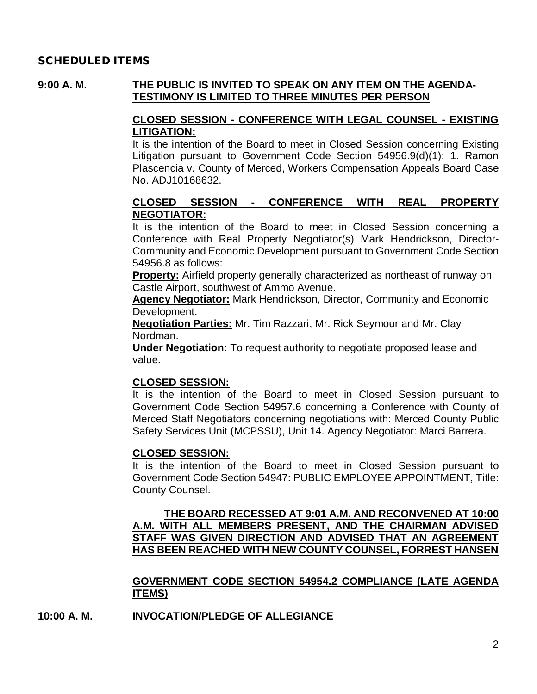#### SCHEDULED ITEMS

#### **9:00 A. M. THE PUBLIC IS INVITED TO SPEAK ON ANY ITEM ON THE AGENDA-TESTIMONY IS LIMITED TO THREE MINUTES PER PERSON**

#### **CLOSED SESSION - CONFERENCE WITH LEGAL COUNSEL - EXISTING LITIGATION:**

It is the intention of the Board to meet in Closed Session concerning Existing Litigation pursuant to Government Code Section 54956.9(d)(1): 1. Ramon Plascencia v. County of Merced, Workers Compensation Appeals Board Case No. ADJ10168632.

#### **CLOSED SESSION - CONFERENCE WITH REAL PROPERTY NEGOTIATOR:**

It is the intention of the Board to meet in Closed Session concerning a Conference with Real Property Negotiator(s) Mark Hendrickson, Director-Community and Economic Development pursuant to Government Code Section 54956.8 as follows:

**Property:** Airfield property generally characterized as northeast of runway on Castle Airport, southwest of Ammo Avenue.

**Agency Negotiator:** Mark Hendrickson, Director, Community and Economic Development.

**Negotiation Parties:** Mr. Tim Razzari, Mr. Rick Seymour and Mr. Clay Nordman.

**Under Negotiation:** To request authority to negotiate proposed lease and value.

#### **CLOSED SESSION:**

It is the intention of the Board to meet in Closed Session pursuant to Government Code Section 54957.6 concerning a Conference with County of Merced Staff Negotiators concerning negotiations with: Merced County Public Safety Services Unit (MCPSSU), Unit 14. Agency Negotiator: Marci Barrera.

#### **CLOSED SESSION:**

It is the intention of the Board to meet in Closed Session pursuant to Government Code Section 54947: PUBLIC EMPLOYEE APPOINTMENT, Title: County Counsel.

**THE BOARD RECESSED AT 9:01 A.M. AND RECONVENED AT 10:00 A.M. WITH ALL MEMBERS PRESENT, AND THE CHAIRMAN ADVISED STAFF WAS GIVEN DIRECTION AND ADVISED THAT AN AGREEMENT HAS BEEN REACHED WITH NEW COUNTY COUNSEL, FORREST HANSEN**

**GOVERNMENT CODE SECTION 54954.2 COMPLIANCE (LATE AGENDA ITEMS)**

#### **10:00 A. M. INVOCATION/PLEDGE OF ALLEGIANCE**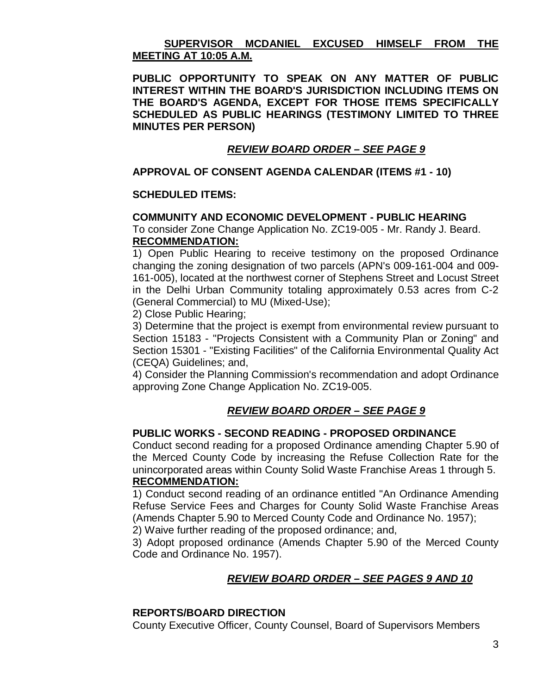#### **SUPERVISOR MCDANIEL EXCUSED HIMSELF FROM THE MEETING AT 10:05 A.M.**

**PUBLIC OPPORTUNITY TO SPEAK ON ANY MATTER OF PUBLIC INTEREST WITHIN THE BOARD'S JURISDICTION INCLUDING ITEMS ON THE BOARD'S AGENDA, EXCEPT FOR THOSE ITEMS SPECIFICALLY SCHEDULED AS PUBLIC HEARINGS (TESTIMONY LIMITED TO THREE MINUTES PER PERSON)**

#### *REVIEW BOARD ORDER – SEE PAGE 9*

#### **APPROVAL OF CONSENT AGENDA CALENDAR (ITEMS #1 - 10)**

#### **SCHEDULED ITEMS:**

#### **COMMUNITY AND ECONOMIC DEVELOPMENT - PUBLIC HEARING**

To consider Zone Change Application No. ZC19-005 - Mr. Randy J. Beard. **RECOMMENDATION:**

1) Open Public Hearing to receive testimony on the proposed Ordinance changing the zoning designation of two parcels (APN's 009-161-004 and 009- 161-005), located at the northwest corner of Stephens Street and Locust Street in the Delhi Urban Community totaling approximately 0.53 acres from C-2 (General Commercial) to MU (Mixed-Use);

2) Close Public Hearing;

3) Determine that the project is exempt from environmental review pursuant to Section 15183 - "Projects Consistent with a Community Plan or Zoning" and Section 15301 - "Existing Facilities" of the California Environmental Quality Act (CEQA) Guidelines; and,

4) Consider the Planning Commission's recommendation and adopt Ordinance approving Zone Change Application No. ZC19-005.

# *REVIEW BOARD ORDER – SEE PAGE 9*

#### **PUBLIC WORKS - SECOND READING - PROPOSED ORDINANCE**

Conduct second reading for a proposed Ordinance amending Chapter 5.90 of the Merced County Code by increasing the Refuse Collection Rate for the unincorporated areas within County Solid Waste Franchise Areas 1 through 5. **RECOMMENDATION:**

1) Conduct second reading of an ordinance entitled "An Ordinance Amending Refuse Service Fees and Charges for County Solid Waste Franchise Areas (Amends Chapter 5.90 to Merced County Code and Ordinance No. 1957);

2) Waive further reading of the proposed ordinance; and,

3) Adopt proposed ordinance (Amends Chapter 5.90 of the Merced County Code and Ordinance No. 1957).

#### *REVIEW BOARD ORDER – SEE PAGES 9 AND 10*

#### **REPORTS/BOARD DIRECTION**

County Executive Officer, County Counsel, Board of Supervisors Members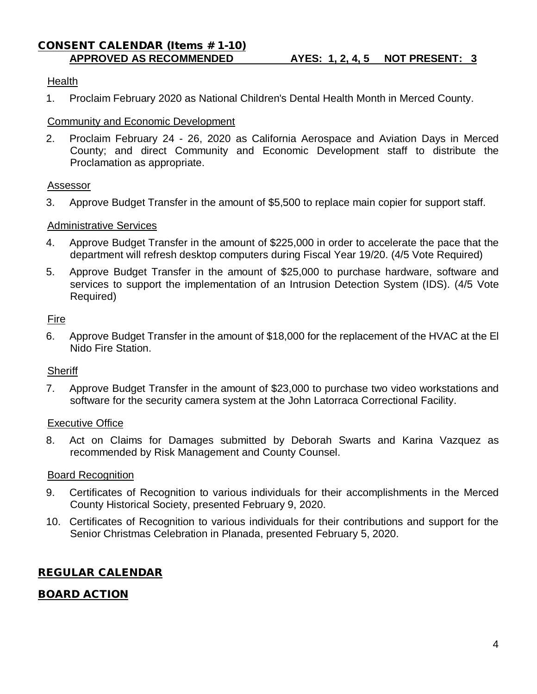# CONSENT CALENDAR (Items # 1-10)

#### **Health**

1. Proclaim February 2020 as National Children's Dental Health Month in Merced County.

#### Community and Economic Development

2. Proclaim February 24 - 26, 2020 as California Aerospace and Aviation Days in Merced County; and direct Community and Economic Development staff to distribute the Proclamation as appropriate.

#### Assessor

3. Approve Budget Transfer in the amount of \$5,500 to replace main copier for support staff.

#### Administrative Services

- 4. Approve Budget Transfer in the amount of \$225,000 in order to accelerate the pace that the department will refresh desktop computers during Fiscal Year 19/20. (4/5 Vote Required)
- 5. Approve Budget Transfer in the amount of \$25,000 to purchase hardware, software and services to support the implementation of an Intrusion Detection System (IDS). (4/5 Vote Required)

#### Fire

6. Approve Budget Transfer in the amount of \$18,000 for the replacement of the HVAC at the El Nido Fire Station.

#### **Sheriff**

7. Approve Budget Transfer in the amount of \$23,000 to purchase two video workstations and software for the security camera system at the John Latorraca Correctional Facility.

#### Executive Office

8. Act on Claims for Damages submitted by Deborah Swarts and Karina Vazquez as recommended by Risk Management and County Counsel.

#### Board Recognition

- 9. Certificates of Recognition to various individuals for their accomplishments in the Merced County Historical Society, presented February 9, 2020.
- 10. Certificates of Recognition to various individuals for their contributions and support for the Senior Christmas Celebration in Planada, presented February 5, 2020.

# REGULAR CALENDAR

# BOARD ACTION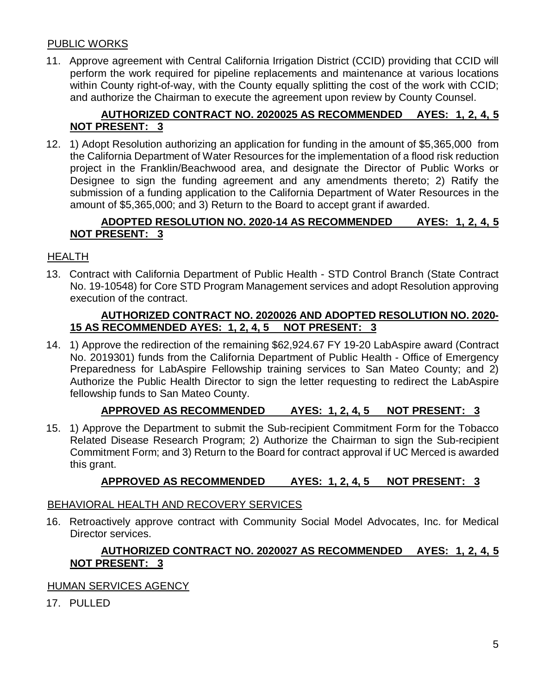#### PUBLIC WORKS

11. Approve agreement with Central California Irrigation District (CCID) providing that CCID will perform the work required for pipeline replacements and maintenance at various locations within County right-of-way, with the County equally splitting the cost of the work with CCID; and authorize the Chairman to execute the agreement upon review by County Counsel.

# **AUTHORIZED CONTRACT NO. 2020025 AS RECOMMENDED AYES: 1, 2, 4, 5 NOT PRESENT: 3**

12. 1) Adopt Resolution authorizing an application for funding in the amount of \$5,365,000 from the California Department of Water Resources for the implementation of a flood risk reduction project in the Franklin/Beachwood area, and designate the Director of Public Works or Designee to sign the funding agreement and any amendments thereto; 2) Ratify the submission of a funding application to the California Department of Water Resources in the amount of \$5,365,000; and 3) Return to the Board to accept grant if awarded.

#### **ADOPTED RESOLUTION NO. 2020-14 AS RECOMMENDED AYES: 1, 2, 4, 5 NOT PRESENT: 3**

#### HEALTH

13. Contract with California Department of Public Health - STD Control Branch (State Contract No. 19-10548) for Core STD Program Management services and adopt Resolution approving execution of the contract.

#### **AUTHORIZED CONTRACT NO. 2020026 AND ADOPTED RESOLUTION NO. 2020- 15 AS RECOMMENDED AYES: 1, 2, 4, 5 NOT PRESENT: 3**

14. 1) Approve the redirection of the remaining \$62,924.67 FY 19-20 LabAspire award (Contract No. 2019301) funds from the California Department of Public Health - Office of Emergency Preparedness for LabAspire Fellowship training services to San Mateo County; and 2) Authorize the Public Health Director to sign the letter requesting to redirect the LabAspire fellowship funds to San Mateo County.

# **APPROVED AS RECOMMENDED AYES: 1, 2, 4, 5 NOT PRESENT: 3**

15. 1) Approve the Department to submit the Sub-recipient Commitment Form for the Tobacco Related Disease Research Program; 2) Authorize the Chairman to sign the Sub-recipient Commitment Form; and 3) Return to the Board for contract approval if UC Merced is awarded this grant.

# **APPROVED AS RECOMMENDED AYES: 1, 2, 4, 5 NOT PRESENT: 3**

#### BEHAVIORAL HEALTH AND RECOVERY SERVICES

16. Retroactively approve contract with Community Social Model Advocates, Inc. for Medical Director services.

# **AUTHORIZED CONTRACT NO. 2020027 AS RECOMMENDED AYES: 1, 2, 4, 5 NOT PRESENT: 3**

# HUMAN SERVICES AGENCY

17. PULLED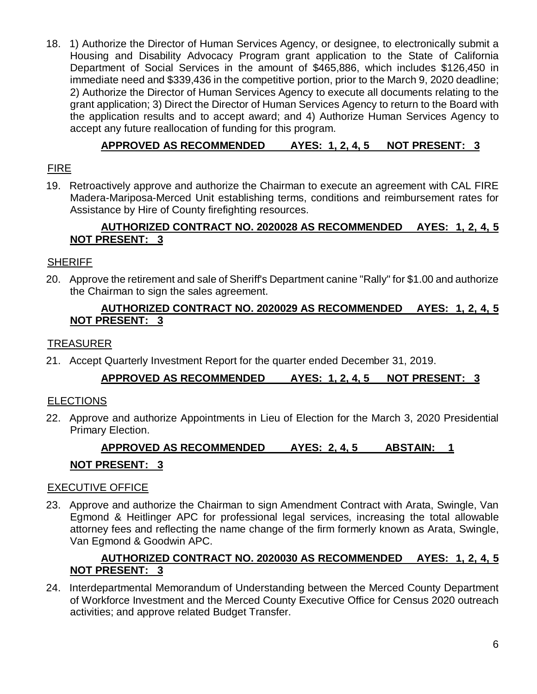18. 1) Authorize the Director of Human Services Agency, or designee, to electronically submit a Housing and Disability Advocacy Program grant application to the State of California Department of Social Services in the amount of \$465,886, which includes \$126,450 in immediate need and \$339,436 in the competitive portion, prior to the March 9, 2020 deadline; 2) Authorize the Director of Human Services Agency to execute all documents relating to the grant application; 3) Direct the Director of Human Services Agency to return to the Board with the application results and to accept award; and 4) Authorize Human Services Agency to accept any future reallocation of funding for this program.

# **APPROVED AS RECOMMENDED AYES: 1, 2, 4, 5 NOT PRESENT: 3**

# FIRE

19. Retroactively approve and authorize the Chairman to execute an agreement with CAL FIRE Madera-Mariposa-Merced Unit establishing terms, conditions and reimbursement rates for Assistance by Hire of County firefighting resources.

# **AUTHORIZED CONTRACT NO. 2020028 AS RECOMMENDED AYES: 1, 2, 4, 5 NOT PRESENT: 3**

# **SHERIFF**

20. Approve the retirement and sale of Sheriff's Department canine "Rally" for \$1.00 and authorize the Chairman to sign the sales agreement.

#### **AUTHORIZED CONTRACT NO. 2020029 AS RECOMMENDED AYES: 1, 2, 4, 5 NOT PRESENT: 3**

# TREASURER

21. Accept Quarterly Investment Report for the quarter ended December 31, 2019.

# **APPROVED AS RECOMMENDED AYES: 1, 2, 4, 5 NOT PRESENT: 3**

# ELECTIONS

22. Approve and authorize Appointments in Lieu of Election for the March 3, 2020 Presidential Primary Election.

# **APPROVED AS RECOMMENDED AYES: 2, 4, 5 ABSTAIN: 1 NOT PRESENT: 3**

# EXECUTIVE OFFICE

23. Approve and authorize the Chairman to sign Amendment Contract with Arata, Swingle, Van Egmond & Heitlinger APC for professional legal services, increasing the total allowable attorney fees and reflecting the name change of the firm formerly known as Arata, Swingle, Van Egmond & Goodwin APC.

# **AUTHORIZED CONTRACT NO. 2020030 AS RECOMMENDED AYES: 1, 2, 4, 5 NOT PRESENT: 3**

24. Interdepartmental Memorandum of Understanding between the Merced County Department of Workforce Investment and the Merced County Executive Office for Census 2020 outreach activities; and approve related Budget Transfer.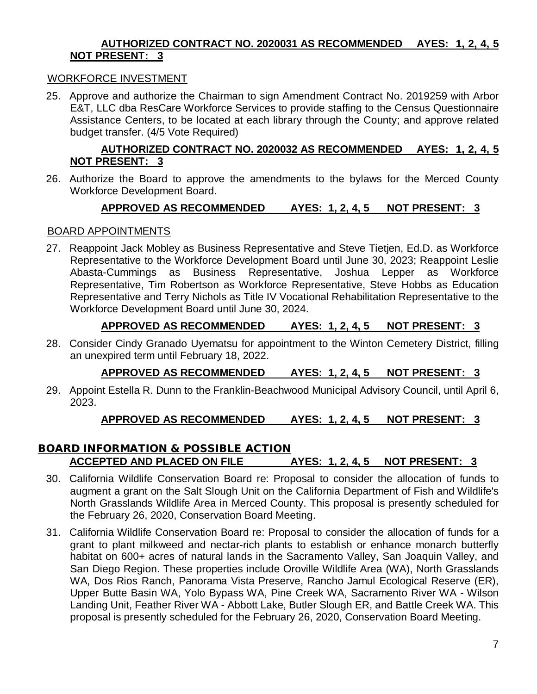#### **AUTHORIZED CONTRACT NO. 2020031 AS RECOMMENDED AYES: 1, 2, 4, 5 NOT PRESENT: 3**

#### WORKFORCE INVESTMENT

25. Approve and authorize the Chairman to sign Amendment Contract No. 2019259 with Arbor E&T, LLC dba ResCare Workforce Services to provide staffing to the Census Questionnaire Assistance Centers, to be located at each library through the County; and approve related budget transfer. (4/5 Vote Required)

#### **AUTHORIZED CONTRACT NO. 2020032 AS RECOMMENDED AYES: 1, 2, 4, 5 NOT PRESENT: 3**

26. Authorize the Board to approve the amendments to the bylaws for the Merced County Workforce Development Board.

#### **APPROVED AS RECOMMENDED AYES: 1, 2, 4, 5 NOT PRESENT: 3**

#### BOARD APPOINTMENTS

27. Reappoint Jack Mobley as Business Representative and Steve Tietjen, Ed.D. as Workforce Representative to the Workforce Development Board until June 30, 2023; Reappoint Leslie Abasta-Cummings as Business Representative, Joshua Lepper as Workforce Representative, Tim Robertson as Workforce Representative, Steve Hobbs as Education Representative and Terry Nichols as Title IV Vocational Rehabilitation Representative to the Workforce Development Board until June 30, 2024.

# **APPROVED AS RECOMMENDED AYES: 1, 2, 4, 5 NOT PRESENT: 3**

28. Consider Cindy Granado Uyematsu for appointment to the Winton Cemetery District, filling an unexpired term until February 18, 2022.

# **APPROVED AS RECOMMENDED AYES: 1, 2, 4, 5 NOT PRESENT: 3**

29. Appoint Estella R. Dunn to the Franklin-Beachwood Municipal Advisory Council, until April 6, 2023.

# **APPROVED AS RECOMMENDED AYES: 1, 2, 4, 5 NOT PRESENT: 3**

# BOARD INFORMATION & POSSIBLE ACTION **ACCEPTED AND PLACED ON FILE AYES: 1, 2, 4, 5 NOT PRESENT: 3**

- 30. California Wildlife Conservation Board re: Proposal to consider the allocation of funds to augment a grant on the Salt Slough Unit on the California Department of Fish and Wildlife's North Grasslands Wildlife Area in Merced County. This proposal is presently scheduled for the February 26, 2020, Conservation Board Meeting.
- 31. California Wildlife Conservation Board re: Proposal to consider the allocation of funds for a grant to plant milkweed and nectar-rich plants to establish or enhance monarch butterfly habitat on 600+ acres of natural lands in the Sacramento Valley, San Joaquin Valley, and San Diego Region. These properties include Oroville Wildlife Area (WA), North Grasslands WA, Dos Rios Ranch, Panorama Vista Preserve, Rancho Jamul Ecological Reserve (ER), Upper Butte Basin WA, Yolo Bypass WA, Pine Creek WA, Sacramento River WA - Wilson Landing Unit, Feather River WA - Abbott Lake, Butler Slough ER, and Battle Creek WA. This proposal is presently scheduled for the February 26, 2020, Conservation Board Meeting.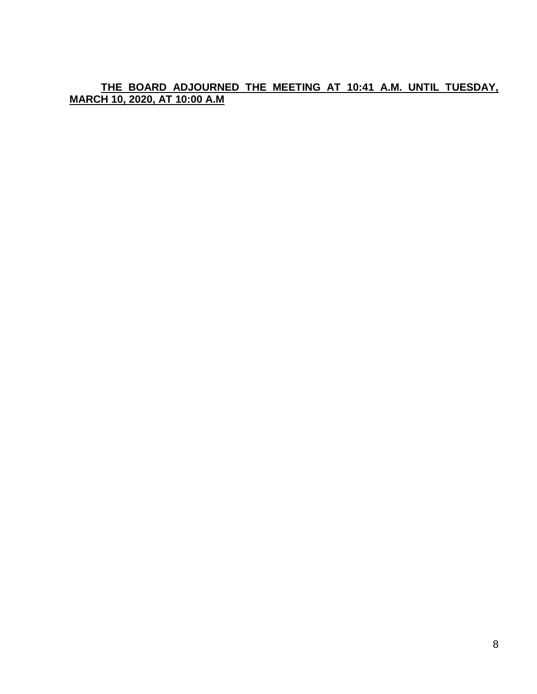**THE BOARD ADJOURNED THE MEETING AT 10:41 A.M. UNTIL TUESDAY, MARCH 10, 2020, AT 10:00 A.M**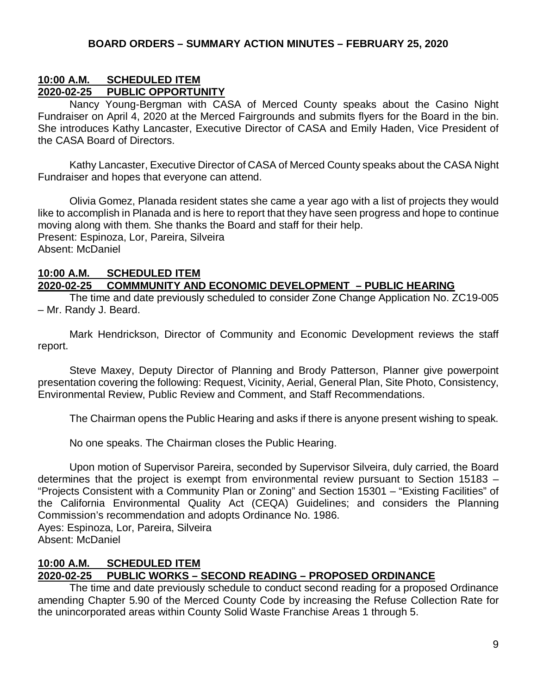# **10:00 A.M. SCHEDULED ITEM 2020-02-25 PUBLIC OPPORTUNITY**

Nancy Young-Bergman with CASA of Merced County speaks about the Casino Night Fundraiser on April 4, 2020 at the Merced Fairgrounds and submits flyers for the Board in the bin. She introduces Kathy Lancaster, Executive Director of CASA and Emily Haden, Vice President of the CASA Board of Directors.

Kathy Lancaster, Executive Director of CASA of Merced County speaks about the CASA Night Fundraiser and hopes that everyone can attend.

Olivia Gomez, Planada resident states she came a year ago with a list of projects they would like to accomplish in Planada and is here to report that they have seen progress and hope to continue moving along with them. She thanks the Board and staff for their help. Present: Espinoza, Lor, Pareira, Silveira Absent: McDaniel

#### **10:00 A.M. SCHEDULED ITEM 2020-02-25 COMMMUNITY AND ECONOMIC DEVELOPMENT – PUBLIC HEARING**

The time and date previously scheduled to consider Zone Change Application No. ZC19-005 – Mr. Randy J. Beard.

Mark Hendrickson, Director of Community and Economic Development reviews the staff report.

Steve Maxey, Deputy Director of Planning and Brody Patterson, Planner give powerpoint presentation covering the following: Request, Vicinity, Aerial, General Plan, Site Photo, Consistency, Environmental Review, Public Review and Comment, and Staff Recommendations.

The Chairman opens the Public Hearing and asks if there is anyone present wishing to speak.

No one speaks. The Chairman closes the Public Hearing.

Upon motion of Supervisor Pareira, seconded by Supervisor Silveira, duly carried, the Board determines that the project is exempt from environmental review pursuant to Section 15183 – "Projects Consistent with a Community Plan or Zoning" and Section 15301 – "Existing Facilities" of the California Environmental Quality Act (CEQA) Guidelines; and considers the Planning Commission's recommendation and adopts Ordinance No. 1986. Ayes: Espinoza, Lor, Pareira, Silveira

Absent: McDaniel

# **10:00 A.M. SCHEDULED ITEM**

# **2020-02-25 PUBLIC WORKS – SECOND READING – PROPOSED ORDINANCE**

The time and date previously schedule to conduct second reading for a proposed Ordinance amending Chapter 5.90 of the Merced County Code by increasing the Refuse Collection Rate for the unincorporated areas within County Solid Waste Franchise Areas 1 through 5.